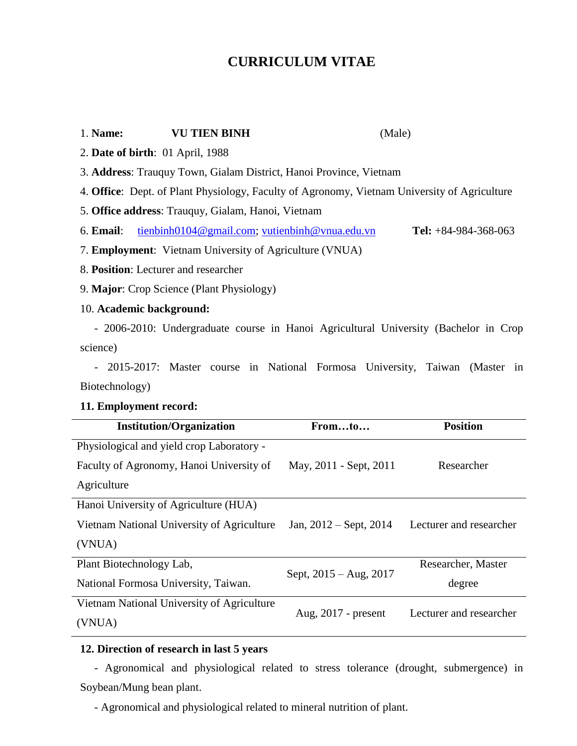# **CURRICULUM VITAE**

| 1. Name:                                                                                            | <b>VU TIEN BINH</b>                            | (Male)                 |                        |
|-----------------------------------------------------------------------------------------------------|------------------------------------------------|------------------------|------------------------|
| 2. Date of birth: 01 April, 1988                                                                    |                                                |                        |                        |
| 3. Address: Trauquy Town, Gialam District, Hanoi Province, Vietnam                                  |                                                |                        |                        |
| 4. Office: Dept. of Plant Physiology, Faculty of Agronomy, Vietnam University of Agriculture        |                                                |                        |                        |
| 5. Office address: Trauquy, Gialam, Hanoi, Vietnam                                                  |                                                |                        |                        |
| 6. Email:                                                                                           | tienbinh0104@gmail.com; vutienbinh@vnua.edu.vn |                        | Tel: $+84-984-368-063$ |
| 7. Employment: Vietnam University of Agriculture (VNUA)                                             |                                                |                        |                        |
| 8. Position: Lecturer and researcher                                                                |                                                |                        |                        |
| 9. Major: Crop Science (Plant Physiology)                                                           |                                                |                        |                        |
| 10. Academic background:                                                                            |                                                |                        |                        |
| - 2006-2010: Undergraduate course in Hanoi Agricultural University (Bachelor in Crop                |                                                |                        |                        |
| science)                                                                                            |                                                |                        |                        |
| - 2015-2017: Master course in National Formosa University, Taiwan (Master in                        |                                                |                        |                        |
| Biotechnology)                                                                                      |                                                |                        |                        |
| 11. Employment record:                                                                              |                                                |                        |                        |
|                                                                                                     | <b>Institution/Organization</b>                | Fromto                 | <b>Position</b>        |
|                                                                                                     | Physiological and yield crop Laboratory -      |                        |                        |
|                                                                                                     | Faculty of Agronomy, Hanoi University of       | May, 2011 - Sept, 2011 | Researcher             |
| Agriculture                                                                                         |                                                |                        |                        |
|                                                                                                     | Hanoi University of Agriculture (HUA)          |                        |                        |
| Vietnam National University of Agriculture<br>Jan, $2012 -$ Sept, $2014$<br>Lecturer and researcher |                                                |                        |                        |

(VNUA)

Plant Biotechnology Lab, National Formosa University, Taiwan. Sept, 2015 – Aug, 2017 Researcher, Master degree Vietnam National University of Agriculture (VNUA) Aug, 2017 - present Lecturer and researcher

## **12. Direction of research in last 5 years**

 - Agronomical and physiological related to stress tolerance (drought, submergence) in Soybean/Mung bean plant.

- Agronomical and physiological related to mineral nutrition of plant.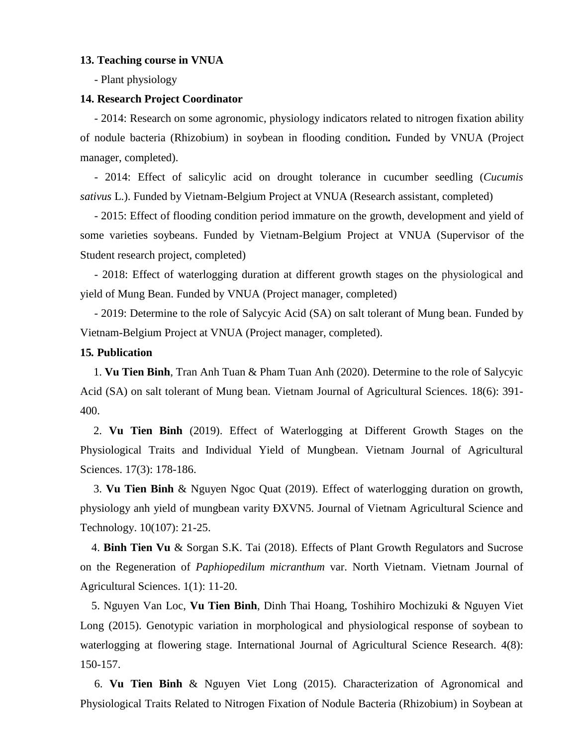#### **13. Teaching course in VNUA**

- Plant physiology

### **14. Research Project Coordinator**

 - 2014: Research on some agronomic, physiology indicators related to nitrogen fixation ability of nodule bacteria (Rhizobium) in soybean in flooding condition*.* Funded by VNUA (Project manager, completed).

 - 2014: Effect of salicylic acid on drought tolerance in cucumber seedling (*Cucumis sativus* L.). Funded by Vietnam-Belgium Project at VNUA (Research assistant, completed)

 - 2015: Effect of flooding condition period immature on the growth, development and yield of some varieties soybeans. Funded by Vietnam-Belgium Project at VNUA (Supervisor of the Student research project, completed)

 - 2018: Effect of waterlogging duration at different growth stages on the physiological and yield of Mung Bean. Funded by VNUA (Project manager, completed)

 - 2019: Determine to the role of Salycyic Acid (SA) on salt tolerant of Mung bean. Funded by Vietnam-Belgium Project at VNUA (Project manager, completed).

#### **15***.* **Publication**

1. **Vu Tien Binh**, Tran Anh Tuan & Pham Tuan Anh (2020). Determine to the role of Salycyic Acid (SA) on salt tolerant of Mung bean. Vietnam Journal of Agricultural Sciences. 18(6): 391- 400.

2. **Vu Tien Binh** (2019). Effect of Waterlogging at Different Growth Stages on the Physiological Traits and Individual Yield of Mungbean. Vietnam Journal of Agricultural Sciences. 17(3): 178-186.

3. **Vu Tien Binh** & Nguyen Ngoc Quat (2019). Effect of waterlogging duration on growth, physiology anh yield of mungbean varity ĐXVN5. Journal of Vietnam Agricultural Science and Technology. 10(107): 21-25.

 4. **Binh Tien Vu** & Sorgan S.K. Tai (2018). Effects of Plant Growth Regulators and Sucrose on the Regeneration of *Paphiopedilum micranthum* var. North Vietnam. Vietnam Journal of Agricultural Sciences. 1(1): 11-20.

 5. Nguyen Van Loc, **Vu Tien Binh**, Dinh Thai Hoang, Toshihiro Mochizuki & Nguyen Viet Long (2015). Genotypic variation in morphological and physiological response of soybean to waterlogging at flowering stage. International Journal of Agricultural Science Research. 4(8): 150-157.

 6. **Vu Tien Binh** & Nguyen Viet Long (2015). Characterization of Agronomical and Physiological Traits Related to Nitrogen Fixation of Nodule Bacteria (Rhizobium) in Soybean at